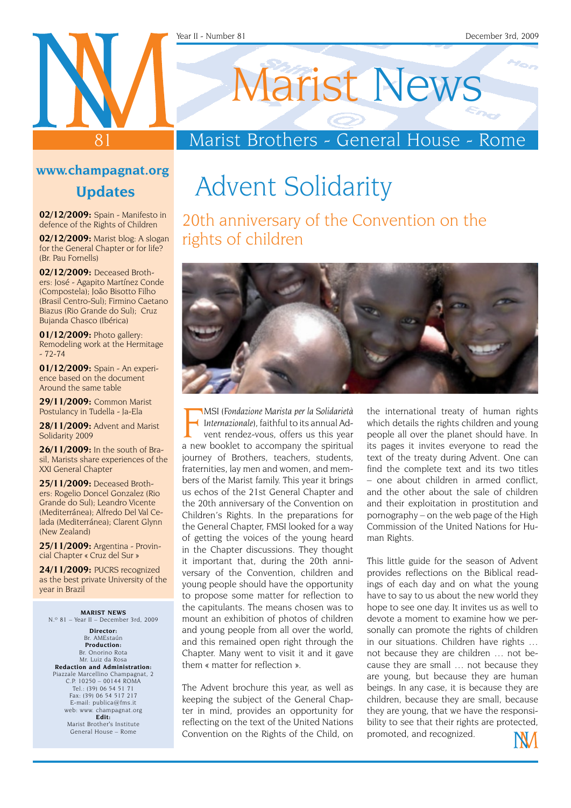#### Year II - Number 81 December 3rd, 2009

# 81

## Marist Brothers - General House - Rome

Marist News

#### **www.champagnat.org**

### **Updates**

**02/12/2009:** Spain - Manifesto in defence of the Rights of Children

**02/12/2009:** Marist blog: A slogan for the General Chapter or for life? (Br. Pau Fornells)

**02/12/2009:** Deceased Brothers: José - Agapito Martínez Conde (Compostela); João Bisotto Filho (Brasil Centro-Sul); Firmino Caetano Biazus (Rio Grande do Sul); Cruz Bujanda Chasco (Ibérica)

**01/12/2009:** Photo gallery: Remodeling work at the Hermitage  $-72-74$ 

**01/12/2009:** Spain - An experience based on the document Around the same table

**29/11/2009:** Common Marist Postulancy in Tudella - Ja-Ela

**28/11/2009:** Advent and Marist Solidarity 2009

**26/11/2009:** In the south of Brasil, Marists share experiences of the XXI General Chapter

**25/11/2009:** Deceased Brothers: Rogelio Doncel Gonzalez (Rio Grande do Sul); Leandro Vicente (Mediterránea); Alfredo Del Val Celada (Mediterránea); Clarent Glynn (New Zealand)

**25/11/2009:** Argentina - Provincial Chapter « Cruz del Sur »

**24/11/2009:** PUCRS recognized as the best private University of the year in Brazil

**MARIST NEWS** N.º 81 – Year II – December 3rd, 2009

**Director:** Br. AMEstaún **Production:** Br. Onorino Rota Mr. Luiz da Rosa **Redaction and Administration:** Piazzale Marcellino Champagnat, 2 C.P. 10250 – 00144 ROMA Tel.: (39) 06 54 51 71 Fax: (39) 06 54 517 217 E-mail: publica@fms.it web: www. champagnat.org **Edit:** Marist Brother's Institute General House – Rome

## Advent Solidarity

20th anniversary of the Convention on the rights of children



MSI (Fondazione Marista per la Solidarietà<br>
Internazionale), faithful to its annual Advent rendez-vous, offers us this year<br>
a new booklet to accompany the spiritual MSI (*Fondazione Marista per la Solidarietà Internazionale*), faithful to its annual Advent rendez-vous, offers us this year journey of Brothers, teachers, students, fraternities, lay men and women, and members of the Marist family. This year it brings us echos of the 21st General Chapter and the 20th anniversary of the Convention on Children's Rights. In the preparations for the General Chapter, FMSI looked for a way of getting the voices of the young heard in the Chapter discussions. They thought it important that, during the 20th anniversary of the Convention, children and young people should have the opportunity to propose some matter for reflection to the capitulants. The means chosen was to mount an exhibition of photos of children and young people from all over the world, and this remained open right through the Chapter. Many went to visit it and it gave them « matter for reflection ».

The Advent brochure this year, as well as keeping the subject of the General Chapter in mind, provides an opportunity for reflecting on the text of the United Nations Convention on the Rights of the Child, on

the international treaty of human rights which details the rights children and young people all over the planet should have. In its pages it invites everyone to read the text of the treaty during Advent. One can find the complete text and its two titles – one about children in armed conflict, and the other about the sale of children and their exploitation in prostitution and pornography – on the web page of the High Commission of the United Nations for Human Rights.

This little guide for the season of Advent provides reflections on the Biblical readings of each day and on what the young have to say to us about the new world they hope to see one day. It invites us as well to devote a moment to examine how we personally can promote the rights of children in our situations. Children have rights … not because they are children … not because they are small … not because they are young, but because they are human beings. In any case, it is because they are children, because they are small, because they are young, that we have the responsibility to see that their rights are protected, promoted, and recognized.

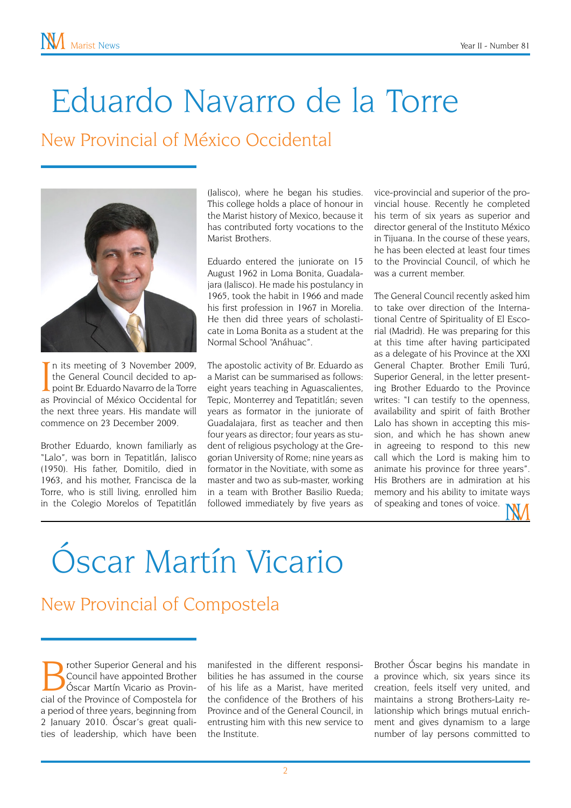# Eduardo Navarro de la Torre

## New Provincial of México Occidental



In its meeting of 3 November 2009,<br>the General Council decided to ap-<br>point Br. Eduardo Navarro de la Torre<br>as Provincial of México Occidental for n its meeting of 3 November 2009, the General Council decided to appoint Br. Eduardo Navarro de la Torre the next three years. His mandate will commence on 23 December 2009.

Brother Eduardo, known familiarly as "Lalo", was born in Tepatitlán, Jalisco (1950). His father, Domitilo, died in 1963, and his mother, Francisca de la Torre, who is still living, enrolled him in the Colegio Morelos of Tepatitlán (Jalisco), where he began his studies. This college holds a place of honour in the Marist history of Mexico, because it has contributed forty vocations to the Marist Brothers.

Eduardo entered the juniorate on 15 August 1962 in Loma Bonita, Guadalajara (Jalisco). He made his postulancy in 1965, took the habit in 1966 and made his first profession in 1967 in Morelia. He then did three years of scholasticate in Loma Bonita as a student at the Normal School "Anáhuac".

The apostolic activity of Br. Eduardo as a Marist can be summarised as follows: eight years teaching in Aguascalientes, Tepic, Monterrey and Tepatitlán; seven years as formator in the juniorate of Guadalajara, first as teacher and then four years as director; four years as student of religious psychology at the Gregorian University of Rome; nine years as formator in the Novitiate, with some as master and two as sub-master, working in a team with Brother Basilio Rueda; followed immediately by five years as

vice-provincial and superior of the provincial house. Recently he completed his term of six years as superior and director general of the Instituto México in Tijuana. In the course of these years, he has been elected at least four times to the Provincial Council, of which he was a current member.

The General Council recently asked him to take over direction of the International Centre of Spirituality of El Escorial (Madrid). He was preparing for this at this time after having participated as a delegate of his Province at the XXI General Chapter. Brother Emili Turú, Superior General, in the letter presenting Brother Eduardo to the Province writes: "I can testify to the openness, availability and spirit of faith Brother Lalo has shown in accepting this mission, and which he has shown anew in agreeing to respond to this new call which the Lord is making him to animate his province for three years". His Brothers are in admiration at his memory and his ability to imitate ways of speaking and tones of voice.



# Óscar Martín Vicario

## New Provincial of Compostela

**Brother Superior General and his Council have appointed Brother**<br> **Council and the Browin-cial of the Browing of Compostela for** Council have appointed Brother cial of the Province of Compostela for a period of three years, beginning from 2 January 2010. Óscar's great qualities of leadership, which have been

manifested in the different responsibilities he has assumed in the course of his life as a Marist, have merited the confidence of the Brothers of his Province and of the General Council, in entrusting him with this new service to the Institute.

Brother Óscar begins his mandate in a province which, six years since its creation, feels itself very united, and maintains a strong Brothers-Laity relationship which brings mutual enrichment and gives dynamism to a large number of lay persons committed to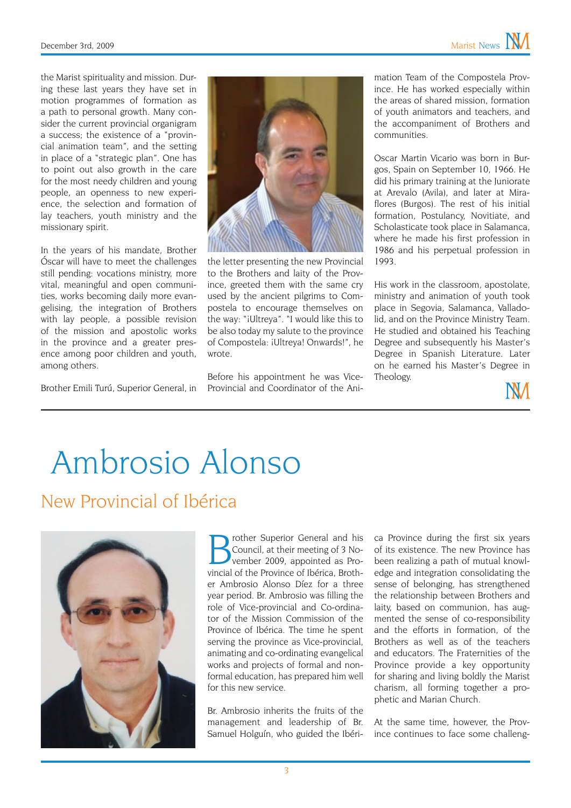the Marist spirituality and mission. During these last years they have set in motion programmes of formation as a path to personal growth. Many consider the current provincial organigram a success; the existence of a "provincial animation team", and the setting in place of a "strategic plan". One has to point out also growth in the care for the most needy children and young people, an openness to new experience, the selection and formation of lay teachers, youth ministry and the missionary spirit.

In the years of his mandate, Brother Óscar will have to meet the challenges still pending: vocations ministry, more vital, meaningful and open communities, works becoming daily more evangelising, the integration of Brothers with lay people, a possible revision of the mission and apostolic works in the province and a greater presence among poor children and youth, among others.

Brother Emili Turú, Superior General, in



the letter presenting the new Provincial to the Brothers and laity of the Province, greeted them with the same cry used by the ancient pilgrims to Compostela to encourage themselves on the way: "iUltreya". "I would like this to be also today my salute to the province of Compostela: ¡Ultreya! Onwards!", he wrote.

Before his appointment he was Vice-Provincial and Coordinator of the Ani-

mation Team of the Compostela Province. He has worked especially within the areas of shared mission, formation of youth animators and teachers, and the accompaniment of Brothers and communities.

Oscar Martin Vicario was born in Burgos, Spain on September 10, 1966. He did his primary training at the Juniorate at Arevalo (Avila), and later at Miraflores (Burgos). The rest of his initial formation, Postulancy, Novitiate, and Scholasticate took place in Salamanca, where he made his first profession in 1986 and his perpetual profession in 1993.

His work in the classroom, apostolate, ministry and animation of youth took place in Segovia, Salamanca, Valladolid, and on the Province Ministry Team. He studied and obtained his Teaching Degree and subsequently his Master's Degree in Spanish Literature. Later on he earned his Master's Degree in Theology.



# Ambrosio Alonso

New Provincial of Ibérica



rother Superior General and his Council, at their meeting of 3 November 2009, appointed as Provincial of the Province of Ibérica, Brother Ambrosio Alonso Díez for a three year period. Br. Ambrosio was filling the role of Vice-provincial and Co-ordinator of the Mission Commission of the Province of Ibérica. The time he spent serving the province as Vice-provincial, animating and co-ordinating evangelical works and projects of formal and nonformal education, has prepared him well for this new service.

Br. Ambrosio inherits the fruits of the management and leadership of Br. Samuel Holguín, who guided the Ibérica Province during the first six years of its existence. The new Province has been realizing a path of mutual knowledge and integration consolidating the sense of belonging, has strengthened the relationship between Brothers and laity, based on communion, has augmented the sense of co-responsibility and the efforts in formation, of the Brothers as well as of the teachers and educators. The Fraternities of the Province provide a key opportunity for sharing and living boldly the Marist charism, all forming together a prophetic and Marian Church.

At the same time, however, the Province continues to face some challeng